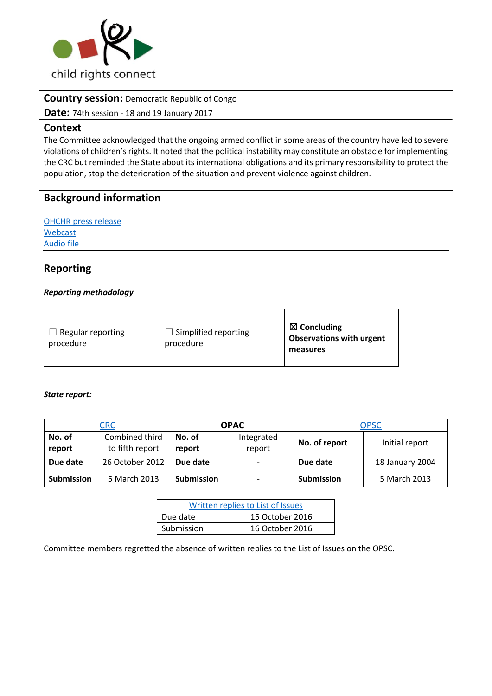

**Country session:** Democratic Republic of Congo

**Date:** 74th session - 18 and 19 January 2017

### **Context**

The Committee acknowledged that the ongoing armed conflict in some areas of the country have led to severe violations of children's rights. It noted that the political instability may constitute an obstacle for implementing the CRC but reminded the State about its international obligations and its primary responsibility to protect the population, stop the deterioration of the situation and prevent violence against children.

## **Background information**

[OHCHR press release](http://bit.ly/2kZqRM5) [Webcast](http://bit.ly/2lmIMxc) [Audio file](http://bit.ly/2kPQLB6)

## **Reporting**

### *Reporting methodology*

| $\Box$ Regular reporting<br>procedure | $\Box$ Simplified reporting<br>procedure | $\boxtimes$ Concluding<br><b>Observations with urgent</b><br>measures |
|---------------------------------------|------------------------------------------|-----------------------------------------------------------------------|
|---------------------------------------|------------------------------------------|-----------------------------------------------------------------------|

### *State report:*

|                  | CRC                               |                   | <b>OPAC</b>          |               | OPSC            |
|------------------|-----------------------------------|-------------------|----------------------|---------------|-----------------|
| No. of<br>report | Combined third<br>to fifth report | No. of<br>report  | Integrated<br>report | No. of report | Initial report  |
| Due date         | 26 October 2012                   | Due date          | -                    | Due date      | 18 January 2004 |
| Submission       | 5 March 2013                      | <b>Submission</b> | -                    | Submission    | 5 March 2013    |

| Written replies to List of Issues |                 |  |
|-----------------------------------|-----------------|--|
| Due date                          | 15 October 2016 |  |
| Submission                        | 16 October 2016 |  |

Committee members regretted the absence of written replies to the List of Issues on the OPSC.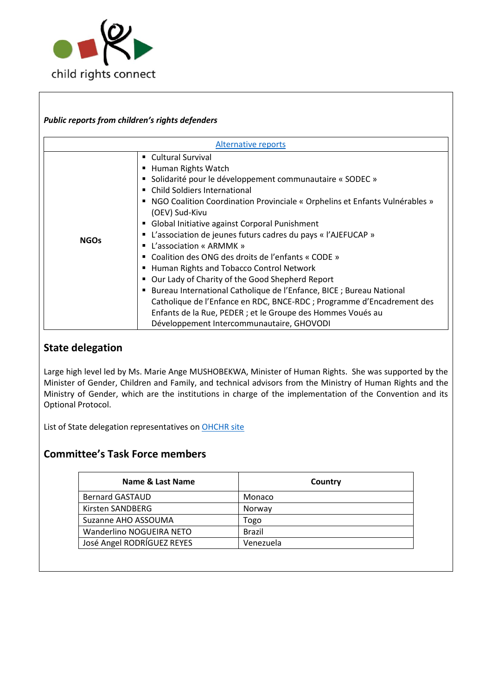

### *Public reports from children's rights defenders*

| Alternative reports |                                                                                                                                                                                                                                                                                                                                                                                                                                                                                                                                                                                                                                                                                                                                                                                                                                                    |  |
|---------------------|----------------------------------------------------------------------------------------------------------------------------------------------------------------------------------------------------------------------------------------------------------------------------------------------------------------------------------------------------------------------------------------------------------------------------------------------------------------------------------------------------------------------------------------------------------------------------------------------------------------------------------------------------------------------------------------------------------------------------------------------------------------------------------------------------------------------------------------------------|--|
| <b>NGOs</b>         | ■ Cultural Survival<br>Human Rights Watch<br>Solidarité pour le développement communautaire « SODEC »<br><b>Child Soldiers International</b><br>NGO Coalition Coordination Provinciale « Orphelins et Enfants Vulnérables »<br>٠<br>(OEV) Sud-Kivu<br>Global Initiative against Corporal Punishment<br>п<br>L'association de jeunes futurs cadres du pays « l'AJEFUCAP »<br>٠<br>L'association « ARMMK »<br>$\blacksquare$<br>Coalition des ONG des droits de l'enfants « CODE »<br>Human Rights and Tobacco Control Network<br>Our Lady of Charity of the Good Shepherd Report<br>Bureau International Catholique de l'Enfance, BICE ; Bureau National<br>п<br>Catholique de l'Enfance en RDC, BNCE-RDC ; Programme d'Encadrement des<br>Enfants de la Rue, PEDER ; et le Groupe des Hommes Voués au<br>Développement Intercommunautaire, GHOVODI |  |

## **State delegation**

Large high level led by Ms. Marie Ange MUSHOBEKWA, Minister of Human Rights. She was supported by the Minister of Gender, Children and Family, and technical advisors from the Ministry of Human Rights and the Ministry of Gender, which are the institutions in charge of the implementation of the Convention and its Optional Protocol.

List of State delegation representatives on **OHCHR** site

## **Committee's Task Force members**

| Name & Last Name           | Country       |
|----------------------------|---------------|
| <b>Bernard GASTAUD</b>     | Monaco        |
| Kirsten SANDBERG           | Norway        |
| Suzanne AHO ASSOUMA        | Togo          |
| Wanderlino NOGUEIRA NETO   | <b>Brazil</b> |
| José Angel RODRÍGUEZ REYES | Venezuela     |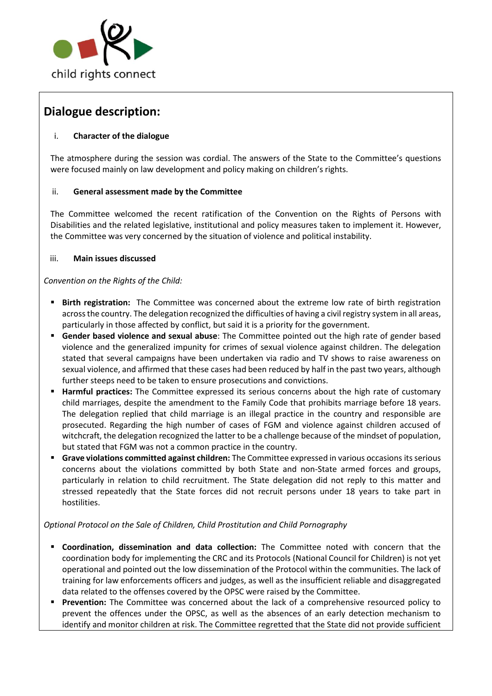

# **Dialogue description:**

### i. **Character of the dialogue**

The atmosphere during the session was cordial. The answers of the State to the Committee's questions were focused mainly on law development and policy making on children's rights.

### ii. **General assessment made by the Committee**

The Committee welcomed the recent ratification of the Convention on the Rights of Persons with Disabilities and the related legislative, institutional and policy measures taken to implement it. However, the Committee was very concerned by the situation of violence and political instability.

#### iii. **Main issues discussed**

*Convention on the Rights of the Child:*

- **Birth registration:** The Committee was concerned about the extreme low rate of birth registration acrossthe country. The delegation recognized the difficulties of having a civil registry system in all areas, particularly in those affected by conflict, but said it is a priority for the government.
- **Gender based violence and sexual abuse**: The Committee pointed out the high rate of gender based violence and the generalized impunity for crimes of sexual violence against children. The delegation stated that several campaigns have been undertaken via radio and TV shows to raise awareness on sexual violence, and affirmed that these cases had been reduced by half in the past two years, although further steeps need to be taken to ensure prosecutions and convictions.
- **Harmful practices:** The Committee expressed its serious concerns about the high rate of customary child marriages, despite the amendment to the Family Code that prohibits marriage before 18 years. The delegation replied that child marriage is an illegal practice in the country and responsible are prosecuted. Regarding the high number of cases of FGM and violence against children accused of witchcraft, the delegation recognized the latter to be a challenge because of the mindset of population, but stated that FGM was not a common practice in the country.
- **Grave violations committed against children:** The Committee expressed in various occasions its serious concerns about the violations committed by both State and non-State armed forces and groups, particularly in relation to child recruitment. The State delegation did not reply to this matter and stressed repeatedly that the State forces did not recruit persons under 18 years to take part in hostilities.

### *Optional Protocol on the Sale of Children, Child Prostitution and Child Pornography*

- **Coordination, dissemination and data collection:** The Committee noted with concern that the coordination body for implementing the CRC and its Protocols (National Council for Children) is not yet operational and pointed out the low dissemination of the Protocol within the communities. The lack of training for law enforcements officers and judges, as well as the insufficient reliable and disaggregated data related to the offenses covered by the OPSC were raised by the Committee.
- **Prevention:** The Committee was concerned about the lack of a comprehensive resourced policy to prevent the offences under the OPSC, as well as the absences of an early detection mechanism to identify and monitor children at risk. The Committee regretted that the State did not provide sufficient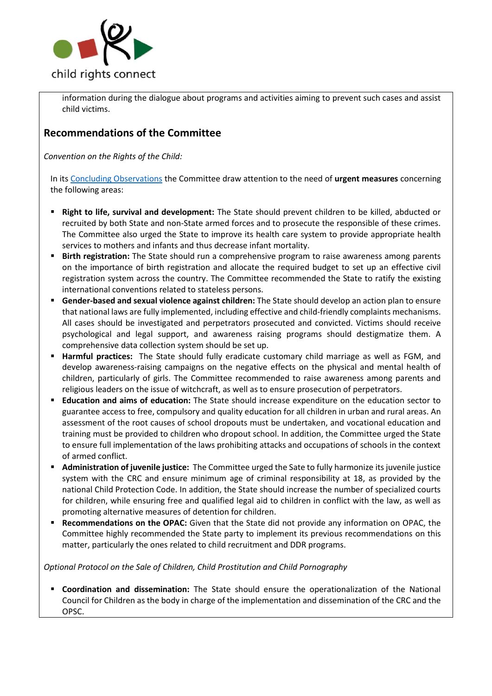

information during the dialogue about programs and activities aiming to prevent such cases and assist child victims.

## **Recommendations of the Committee**

*Convention on the Rights of the Child:*

In its [Concluding Observations](http://tbinternet.ohchr.org/_layouts/treatybodyexternal/Download.aspx?symbolno=CRC%2fC%2fCOD%2fCO%2f3-5&Lang=en) the Committee draw attention to the need of **urgent measures** concerning the following areas:

- **Right to life, survival and development:** The State should prevent children to be killed, abducted or recruited by both State and non-State armed forces and to prosecute the responsible of these crimes. The Committee also urged the State to improve its health care system to provide appropriate health services to mothers and infants and thus decrease infant mortality.
- **Birth registration:** The State should run a comprehensive program to raise awareness among parents on the importance of birth registration and allocate the required budget to set up an effective civil registration system across the country. The Committee recommended the State to ratify the existing international conventions related to stateless persons.
- **Gender-based and sexual violence against children:** The State should develop an action plan to ensure that national laws are fully implemented, including effective and child-friendly complaints mechanisms. All cases should be investigated and perpetrators prosecuted and convicted. Victims should receive psychological and legal support, and awareness raising programs should destigmatize them. A comprehensive data collection system should be set up.
- **Harmful practices:** The State should fully eradicate customary child marriage as well as FGM, and develop awareness-raising campaigns on the negative effects on the physical and mental health of children, particularly of girls. The Committee recommended to raise awareness among parents and religious leaders on the issue of witchcraft, as well as to ensure prosecution of perpetrators.
- **Education and aims of education:** The State should increase expenditure on the education sector to guarantee access to free, compulsory and quality education for all children in urban and rural areas. An assessment of the root causes of school dropouts must be undertaken, and vocational education and training must be provided to children who dropout school. In addition, the Committee urged the State to ensure full implementation of the laws prohibiting attacks and occupations of schools in the context of armed conflict.
- **Administration of juvenile justice:** The Committee urged the Sate to fully harmonize its juvenile justice system with the CRC and ensure minimum age of criminal responsibility at 18, as provided by the national Child Protection Code. In addition, the State should increase the number of specialized courts for children, while ensuring free and qualified legal aid to children in conflict with the law, as well as promoting alternative measures of detention for children.
- **Recommendations on the OPAC:** Given that the State did not provide any information on OPAC, the Committee highly recommended the State party to implement its previous recommendations on this matter, particularly the ones related to child recruitment and DDR programs.

### *Optional Protocol on the Sale of Children, Child Prostitution and Child Pornography*

 **Coordination and dissemination:** The State should ensure the operationalization of the National Council for Children as the body in charge of the implementation and dissemination of the CRC and the OPSC.